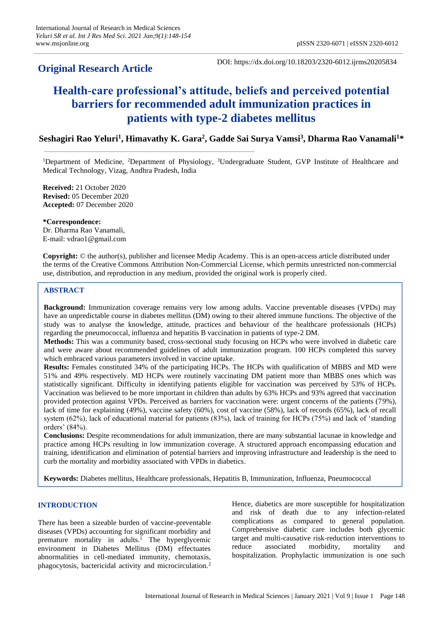# **Original Research Article**

DOI: https://dx.doi.org/10.18203/2320-6012.ijrms20205834

# **Health-care professional's attitude, beliefs and perceived potential barriers for recommended adult immunization practices in patients with type-2 diabetes mellitus**

# **Seshagiri Rao Yeluri<sup>1</sup> , Himavathy K. Gara<sup>2</sup> , Gadde Sai Surya Vamsi<sup>3</sup> , Dharma Rao Vanamali<sup>1</sup>\***

<sup>1</sup>Department of Medicine, <sup>2</sup>Department of Physiology, <sup>3</sup>Undergraduate Student, GVP Institute of Healthcare and Medical Technology, Vizag, Andhra Pradesh, India

**Received:** 21 October 2020 **Revised:** 05 December 2020 **Accepted:** 07 December 2020

**\*Correspondence:** Dr. Dharma Rao Vanamali, E-mail: vdrao1@gmail.com

**Copyright:** © the author(s), publisher and licensee Medip Academy. This is an open-access article distributed under the terms of the Creative Commons Attribution Non-Commercial License, which permits unrestricted non-commercial use, distribution, and reproduction in any medium, provided the original work is properly cited.

# **ABSTRACT**

**Background:** Immunization coverage remains very low among adults. Vaccine preventable diseases (VPDs) may have an unpredictable course in diabetes mellitus (DM) owing to their altered immune functions. The objective of the study was to analyse the knowledge, attitude, practices and behaviour of the healthcare professionals (HCPs) regarding the pneumococcal, influenza and hepatitis B vaccination in patients of type-2 DM.

**Methods:** This was a community based, cross-sectional study focusing on HCPs who were involved in diabetic care and were aware about recommended guidelines of adult immunization program. 100 HCPs completed this survey which embraced various parameters involved in vaccine uptake.

**Results:** Females constituted 34% of the participating HCPs. The HCPs with qualification of MBBS and MD were 51% and 49% respectively. MD HCPs were routinely vaccinating DM patient more than MBBS ones which was statistically significant. Difficulty in identifying patients eligible for vaccination was perceived by 53% of HCPs. Vaccination was believed to be more important in children than adults by 63% HCPs and 93% agreed that vaccination provided protection against VPDs. Perceived as barriers for vaccination were: urgent concerns of the patients (79%), lack of time for explaining (49%), vaccine safety (60%), cost of vaccine (58%), lack of records (65%), lack of recall system (62%), lack of educational material for patients (83%), lack of training for HCPs (75%) and lack of 'standing orders' (84%).

**Conclusions:** Despite recommendations for adult immunization, there are many substantial lacunae in knowledge and practice among HCPs resulting in low immunization coverage. A structured approach encompassing education and training, identification and elimination of potential barriers and improving infrastructure and leadership is the need to curb the mortality and morbidity associated with VPDs in diabetics.

**Keywords:** Diabetes mellitus, Healthcare professionals, Hepatitis B, Immunization, Influenza, Pneumococcal

# **INTRODUCTION**

There has been a sizeable burden of vaccine-preventable diseases (VPDs) accounting for significant morbidity and premature mortality in adults.<sup>1</sup> The hyperglycemic environment in Diabetes Mellitus (DM) effectuates abnormalities in cell-mediated immunity, chemotaxis, phagocytosis, bactericidal activity and microcirculation.<sup>2</sup> Hence, diabetics are more susceptible for hospitalization and risk of death due to any infection-related complications as compared to general population. Comprehensive diabetic care includes both glycemic target and multi-causative risk-reduction interventions to reduce associated morbidity, mortality and hospitalization. Prophylactic immunization is one such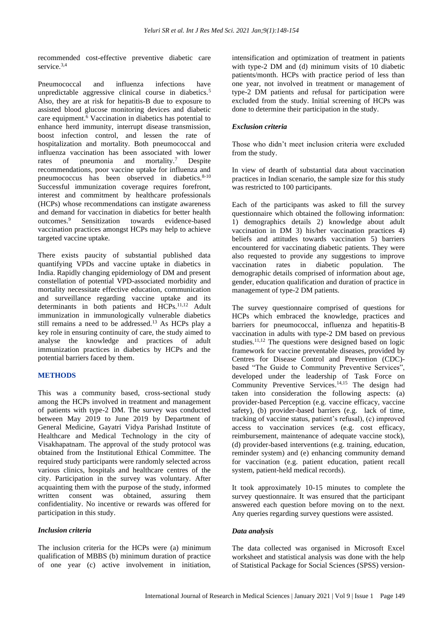recommended cost-effective preventive diabetic care service.<sup>3,4</sup>

Pneumococcal and influenza infections have unpredictable aggressive clinical course in diabetics.<sup>5</sup> Also, they are at risk for hepatitis-B due to exposure to assisted blood glucose monitoring devices and diabetic care equipment. $\frac{6}{6}$  Vaccination in diabetics has potential to enhance herd immunity, interrupt disease transmission, boost infection control, and lessen the rate of hospitalization and mortality. Both pneumococcal and influenza vaccination has been associated with lower rates of pneumonia and mortality.<sup>7</sup> Despite recommendations, poor vaccine uptake for influenza and pneumococcus has been observed in diabetics.<sup>8-10</sup> Successful immunization coverage requires forefront, interest and commitment by healthcare professionals (HCPs) whose recommendations can instigate awareness and demand for vaccination in diabetics for better health outcomes.<sup>9</sup> Sensitization towards evidence-based vaccination practices amongst HCPs may help to achieve targeted vaccine uptake.

There exists paucity of substantial published data quantifying VPDs and vaccine uptake in diabetics in India. Rapidly changing epidemiology of DM and present constellation of potential VPD-associated morbidity and mortality necessitate effective education, communication and surveillance regarding vaccine uptake and its determinants in both patients and HCPs.<sup>11,12</sup> Adult immunization in immunologically vulnerable diabetics still remains a need to be addressed.<sup>13</sup> As HCPs play a key role in ensuring continuity of care, the study aimed to analyse the knowledge and practices of adult immunization practices in diabetics by HCPs and the potential barriers faced by them.

# **METHODS**

This was a community based, cross-sectional study among the HCPs involved in treatment and management of patients with type-2 DM. The survey was conducted between May 2019 to June 2019 by Department of General Medicine, Gayatri Vidya Parishad Institute of Healthcare and Medical Technology in the city of Visakhapatnam. The approval of the study protocol was obtained from the Institutional Ethical Committee. The required study participants were randomly selected across various clinics, hospitals and healthcare centres of the city. Participation in the survey was voluntary. After acquainting them with the purpose of the study, informed written consent was obtained, assuring them confidentiality. No incentive or rewards was offered for participation in this study.

# *Inclusion criteria*

The inclusion criteria for the HCPs were (a) minimum qualification of MBBS (b) minimum duration of practice of one year (c) active involvement in initiation, intensification and optimization of treatment in patients with type-2 DM and (d) minimum visits of 10 diabetic patients/month. HCPs with practice period of less than one year, not involved in treatment or management of type-2 DM patients and refusal for participation were excluded from the study. Initial screening of HCPs was done to determine their participation in the study.

# *Exclusion criteria*

Those who didn't meet inclusion criteria were excluded from the study.

In view of dearth of substantial data about vaccination practices in Indian scenario, the sample size for this study was restricted to 100 participants.

Each of the participants was asked to fill the survey questionnaire which obtained the following information: 1) demographics details 2) knowledge about adult vaccination in DM 3) his/her vaccination practices 4) beliefs and attitudes towards vaccination 5) barriers encountered for vaccinating diabetic patients. They were also requested to provide any suggestions to improve vaccination rates in diabetic population. The demographic details comprised of information about age, gender, education qualification and duration of practice in management of type-2 DM patients.

The survey questionnaire comprised of questions for HCPs which embraced the knowledge, practices and barriers for pneumococcal, influenza and hepatitis-B vaccination in adults with type-2 DM based on previous studies.<sup>11,12</sup> The questions were designed based on logic framework for vaccine preventable diseases, provided by Centres for Disease Control and Prevention (CDC) based "The Guide to Community Preventive Services", developed under the leadership of Task Force on Community Preventive Services. 14,15 The design had taken into consideration the following aspects: (a) provider-based Perception (e.g. vaccine efficacy, vaccine safety), (b) provider-based barriers (e.g. lack of time, tracking of vaccine status, patient's refusal), (c) improved access to vaccination services (e.g. cost efficacy, reimbursement, maintenance of adequate vaccine stock), (d) provider-based interventions (e.g. training, education, reminder system) and (e) enhancing community demand for vaccination (e.g. patient education, patient recall system, patient-held medical records).

It took approximately 10-15 minutes to complete the survey questionnaire. It was ensured that the participant answered each question before moving on to the next. Any queries regarding survey questions were assisted.

# *Data analysis*

The data collected was organised in Microsoft Excel worksheet and statistical analysis was done with the help of Statistical Package for Social Sciences (SPSS) version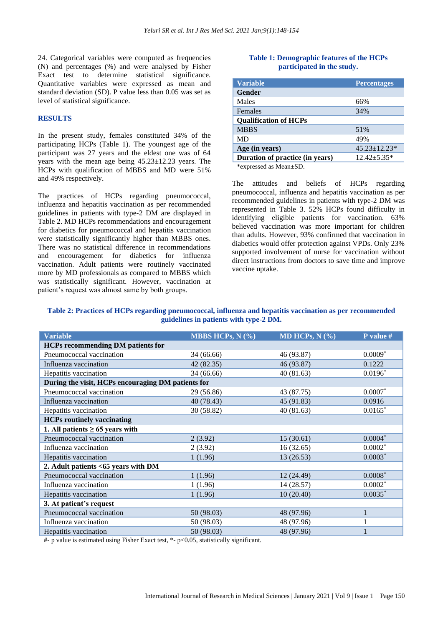24. Categorical variables were computed as frequencies (N) and percentages (%) and were analysed by Fisher Exact test to determine statistical significance. Quantitative variables were expressed as mean and standard deviation (SD). P value less than 0.05 was set as level of statistical significance.

#### **RESULTS**

In the present study, females constituted 34% of the participating HCPs (Table 1). The youngest age of the participant was 27 years and the eldest one was of 64 years with the mean age being 45.23±12.23 years. The HCPs with qualification of MBBS and MD were 51% and 49% respectively.

The practices of HCPs regarding pneumococcal, influenza and hepatitis vaccination as per recommended guidelines in patients with type-2 DM are displayed in Table 2. MD HCPs recommendations and encouragement for diabetics for pneumococcal and hepatitis vaccination were statistically significantly higher than MBBS ones. There was no statistical difference in recommendations and encouragement for diabetics for influenza vaccination. Adult patients were routinely vaccinated more by MD professionals as compared to MBBS which was statistically significant. However, vaccination at patient's request was almost same by both groups.

#### **Table 1: Demographic features of the HCPs participated in the study.**

| <b>Variable</b>                 | <b>Percentages</b>  |
|---------------------------------|---------------------|
| Gender                          |                     |
| Males                           | 66%                 |
| Females                         | 34%                 |
| <b>Qualification of HCPs</b>    |                     |
| <b>MBBS</b>                     | 51%                 |
| MD                              | 49%                 |
| Age (in years)                  | $45.23 \pm 12.23$ * |
| Duration of practice (in years) | $12.42 + 5.35*$     |
| *expressed as $M$ ean+SD        |                     |

\*expressed as Mean±SD.

The attitudes and beliefs of HCPs regarding pneumococcal, influenza and hepatitis vaccination as per recommended guidelines in patients with type-2 DM was represented in Table 3. 52% HCPs found difficulty in identifying eligible patients for vaccination. 63% believed vaccination was more important for children than adults. However, 93% confirmed that vaccination in diabetics would offer protection against VPDs. Only 23% supported involvement of nurse for vaccination without direct instructions from doctors to save time and improve vaccine uptake.

# **Table 2: Practices of HCPs regarding pneumococcal, influenza and hepatitis vaccination as per recommended guidelines in patients with type-2 DM.**

| <b>Variable</b>                                    | MBBS HCPs, $N$ $(\% )$ | MD HCPs, $N$ (%) | P value $#$ |  |  |
|----------------------------------------------------|------------------------|------------------|-------------|--|--|
| <b>HCPs recommending DM patients for</b>           |                        |                  |             |  |  |
| Pneumococcal vaccination                           | 34 (66.66)             | 46 (93.87)       | $0.0009*$   |  |  |
| Influenza vaccination                              | 42 (82.35)             | 46 (93.87)       | 0.1222      |  |  |
| Hepatitis vaccination                              | 34 (66.66)             | 40(81.63)        | $0.0196*$   |  |  |
| During the visit, HCPs encouraging DM patients for |                        |                  |             |  |  |
| Pneumococcal vaccination                           | 29 (56.86)             | 43 (87.75)       | $0.0007*$   |  |  |
| Influenza vaccination                              | 40 (78.43)             | 45 (91.83)       | 0.0916      |  |  |
| Hepatitis vaccination                              | 30 (58.82)             | 40(81.63)        | $0.0165*$   |  |  |
| <b>HCPs routinely vaccinating</b>                  |                        |                  |             |  |  |
| 1. All patients $\geq 65$ years with               |                        |                  |             |  |  |
| Pneumococcal vaccination                           | 2(3.92)                | 15(30.61)        | $0.0004*$   |  |  |
| Influenza vaccination                              | 2(3.92)                | 16(32.65)        | $0.0002^*$  |  |  |
| Hepatitis vaccination                              | 1(1.96)                | 13(26.53)        | $0.0003*$   |  |  |
| 2. Adult patients <65 years with DM                |                        |                  |             |  |  |
| Pneumococcal vaccination                           | 1(1.96)                | 12 (24.49)       | $0.0008*$   |  |  |
| Influenza vaccination                              | 1(1.96)                | 14 (28.57)       | $0.0002*$   |  |  |
| Hepatitis vaccination                              | 1(1.96)                | 10(20.40)        | $0.0035*$   |  |  |
| 3. At patient's request                            |                        |                  |             |  |  |
| Pneumococcal vaccination                           | 50 (98.03)             | 48 (97.96)       |             |  |  |
| Influenza vaccination                              | 50 (98.03)             | 48 (97.96)       |             |  |  |
| Hepatitis vaccination                              | 50 (98.03)             | 48 (97.96)       |             |  |  |

#- p value is estimated using Fisher Exact test, \*- p<0.05, statistically significant.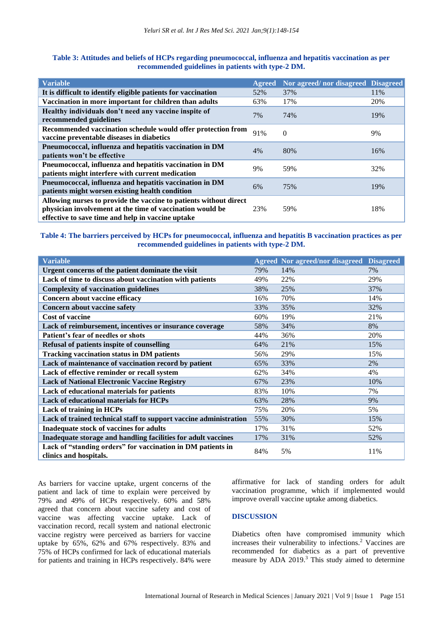| <b>Variable</b>                                                                                                                                                                     |     | Agreed Nor agreed/nor disagreed Disagreed |     |
|-------------------------------------------------------------------------------------------------------------------------------------------------------------------------------------|-----|-------------------------------------------|-----|
| It is difficult to identify eligible patients for vaccination                                                                                                                       | 52% | 37%                                       | 11% |
| Vaccination in more important for children than adults                                                                                                                              | 63% | 17%                                       | 20% |
| Healthy individuals don't need any vaccine inspite of<br>recommended guidelines                                                                                                     | 7%  | 74%                                       | 19% |
| Recommended vaccination schedule would offer protection from<br>vaccine preventable diseases in diabetics                                                                           | 91% | $\theta$                                  | 9%  |
| Pneumococcal, influenza and hepatitis vaccination in DM<br>patients won't be effective                                                                                              | 4%  | 80%                                       | 16% |
| Pneumococcal, influenza and hepatitis vaccination in DM<br>patients might interfere with current medication                                                                         | 9%  | 59%                                       | 32% |
| Pneumococcal, influenza and hepatitis vaccination in DM<br>patients might worsen existing health condition                                                                          | 6%  | 75%                                       | 19% |
| Allowing nurses to provide the vaccine to patients without direct<br>physician involvement at the time of vaccination would be<br>effective to save time and help in vaccine uptake | 23% | 59%                                       | 18% |

# **Table 3: Attitudes and beliefs of HCPs regarding pneumococcal, influenza and hepatitis vaccination as per recommended guidelines in patients with type-2 DM.**

# **Table 4: The barriers perceived by HCPs for pneumococcal, influenza and hepatitis B vaccination practices as per recommended guidelines in patients with type-2 DM.**

| <b>Variable</b>                                                                       |     | <b>Agreed Nor agreed/nor disagreed</b> | <b>Disagreed</b> |
|---------------------------------------------------------------------------------------|-----|----------------------------------------|------------------|
| Urgent concerns of the patient dominate the visit                                     | 79% | 14%                                    | 7%               |
| Lack of time to discuss about vaccination with patients                               | 49% | 22%                                    | 29%              |
| <b>Complexity of vaccination guidelines</b>                                           | 38% | 25%                                    | 37%              |
| Concern about vaccine efficacy                                                        | 16% | 70%                                    | 14%              |
| Concern about vaccine safety                                                          | 33% | 35%                                    | 32%              |
| <b>Cost of vaccine</b>                                                                | 60% | 19%                                    | 21%              |
| Lack of reimbursement, incentives or insurance coverage                               | 58% | 34%                                    | 8%               |
| Patient's fear of needles or shots                                                    | 44% | 36%                                    | 20%              |
| Refusal of patients inspite of counselling                                            | 64% | 21%                                    | 15%              |
| <b>Tracking vaccination status in DM patients</b>                                     | 56% | 29%                                    | 15%              |
| Lack of maintenance of vaccination record by patient                                  | 65% | 33%                                    | 2%               |
| Lack of effective reminder or recall system                                           | 62% | 34%                                    | 4%               |
| <b>Lack of National Electronic Vaccine Registry</b>                                   | 67% | 23%                                    | 10%              |
| Lack of educational materials for patients                                            | 83% | 10%                                    | 7%               |
| <b>Lack of educational materials for HCPs</b>                                         | 63% | 28%                                    | 9%               |
| Lack of training in HCPs                                                              | 75% | 20%                                    | 5%               |
| Lack of trained technical staff to support vaccine administration                     | 55% | 30%                                    | 15%              |
| Inadequate stock of vaccines for adults                                               | 17% | 31%                                    | 52%              |
| Inadequate storage and handling facilities for adult vaccines                         | 17% | 31%                                    | 52%              |
| Lack of "standing orders" for vaccination in DM patients in<br>clinics and hospitals. | 84% | 5%                                     | 11%              |

As barriers for vaccine uptake, urgent concerns of the patient and lack of time to explain were perceived by 79% and 49% of HCPs respectively. 60% and 58% agreed that concern about vaccine safety and cost of vaccine was affecting vaccine uptake. Lack of vaccination record, recall system and national electronic vaccine registry were perceived as barriers for vaccine uptake by 65%, 62% and 67% respectively. 83% and 75% of HCPs confirmed for lack of educational materials for patients and training in HCPs respectively. 84% were

affirmative for lack of standing orders for adult vaccination programme, which if implemented would improve overall vaccine uptake among diabetics.

# **DISCUSSION**

Diabetics often have compromised immunity which increases their vulnerability to infections.<sup>2</sup> Vaccines are recommended for diabetics as a part of preventive measure by ADA 2019.<sup>3</sup> This study aimed to determine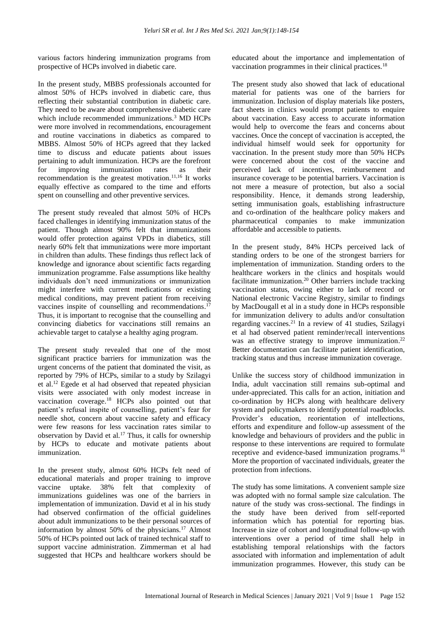various factors hindering immunization programs from prospective of HCPs involved in diabetic care.

In the present study, MBBS professionals accounted for almost 50% of HCPs involved in diabetic care, thus reflecting their substantial contribution in diabetic care. They need to be aware about comprehensive diabetic care which include recommended immunizations.<sup>3</sup> MD HCPs were more involved in recommendations, encouragement and routine vaccinations in diabetics as compared to MBBS. Almost 50% of HCPs agreed that they lacked time to discuss and educate patients about issues pertaining to adult immunization. HCPs are the forefront for improving immunization rates as their recommendation is the greatest motivation.<sup>11,16</sup> It works equally effective as compared to the time and efforts spent on counselling and other preventive services.

The present study revealed that almost 50% of HCPs faced challenges in identifying immunization status of the patient. Though almost 90% felt that immunizations would offer protection against VPDs in diabetics, still nearly 60% felt that immunizations were more important in children than adults. These findings thus reflect lack of knowledge and ignorance about scientific facts regarding immunization programme. False assumptions like healthy individuals don't need immunizations or immunization might interfere with current medications or existing medical conditions, may prevent patient from receiving vaccines inspite of counselling and recommendations.<sup>17</sup> Thus, it is important to recognise that the counselling and convincing diabetics for vaccinations still remains an achievable target to catalyse a healthy aging program.

The present study revealed that one of the most significant practice barriers for immunization was the urgent concerns of the patient that dominated the visit, as reported by 79% of HCPs, similar to a study by Szilagyi et al.<sup>12</sup> Egede et al had observed that repeated physician visits were associated with only modest increase in vaccination coverage.<sup>18</sup> HCPs also pointed out that patient's refusal inspite of counselling, patient's fear for needle shot, concern about vaccine safety and efficacy were few reasons for less vaccination rates similar to observation by David et al.<sup>17</sup> Thus, it calls for ownership by HCPs to educate and motivate patients about immunization.

In the present study, almost 60% HCPs felt need of educational materials and proper training to improve vaccine uptake. 38% felt that complexity of immunizations guidelines was one of the barriers in implementation of immunization. David et al in his study had observed confirmation of the official guidelines about adult immunizations to be their personal sources of information by almost 50% of the physicians.<sup>17</sup> Almost 50% of HCPs pointed out lack of trained technical staff to support vaccine administration. Zimmerman et al had suggested that HCPs and healthcare workers should be

educated about the importance and implementation of vaccination programmes in their clinical practices.<sup>18</sup>

The present study also showed that lack of educational material for patients was one of the barriers for immunization. Inclusion of display materials like posters, fact sheets in clinics would prompt patients to enquire about vaccination. Easy access to accurate information would help to overcome the fears and concerns about vaccines. Once the concept of vaccination is accepted, the individual himself would seek for opportunity for vaccination. In the present study more than 50% HCPs were concerned about the cost of the vaccine and perceived lack of incentives, reimbursement and insurance coverage to be potential barriers. Vaccination is not mere a measure of protection, but also a social responsibility. Hence, it demands strong leadership, setting immunisation goals, establishing infrastructure and co-ordination of the healthcare policy makers and pharmaceutical companies to make immunization affordable and accessible to patients.

In the present study, 84% HCPs perceived lack of standing orders to be one of the strongest barriers for implementation of immunization. Standing orders to the healthcare workers in the clinics and hospitals would facilitate immunization.<sup>20</sup> Other barriers include tracking vaccination status, owing either to lack of record or National electronic Vaccine Registry, similar to findings by MacDougall et al in a study done in HCPs responsible for immunization delivery to adults and/or consultation regarding vaccines.<sup>21</sup> In a review of 41 studies, Szilagyi et al had observed patient reminder/recall interventions was an effective strategy to improve immunization.<sup>22</sup> Better documentation can facilitate patient identification, tracking status and thus increase immunization coverage.

Unlike the success story of childhood immunization in India, adult vaccination still remains sub-optimal and under-appreciated. This calls for an action, initiation and co-ordination by HCPs along with healthcare delivery system and policymakers to identify potential roadblocks. Provider's education, reorientation of intellections, efforts and expenditure and follow-up assessment of the knowledge and behaviours of providers and the public in response to these interventions are required to formulate receptive and evidence-based immunization programs.<sup>16</sup> More the proportion of vaccinated individuals, greater the protection from infections.

The study has some limitations. A convenient sample size was adopted with no formal sample size calculation. The nature of the study was cross-sectional. The findings in the study have been derived from self-reported information which has potential for reporting bias. Increase in size of cohort and longitudinal follow-up with interventions over a period of time shall help in establishing temporal relationships with the factors associated with information and implementation of adult immunization programmes. However, this study can be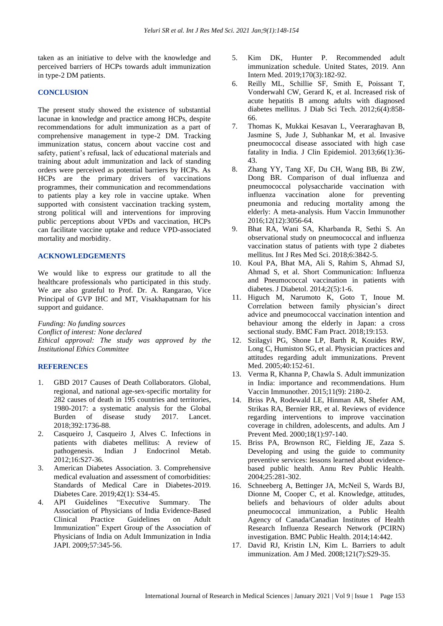taken as an initiative to delve with the knowledge and perceived barriers of HCPs towards adult immunization in type-2 DM patients.

### **CONCLUSION**

The present study showed the existence of substantial lacunae in knowledge and practice among HCPs, despite recommendations for adult immunization as a part of comprehensive management in type-2 DM. Tracking immunization status, concern about vaccine cost and safety, patient's refusal, lack of educational materials and training about adult immunization and lack of standing orders were perceived as potential barriers by HCPs. As HCPs are the primary drivers of vaccinations programmes, their communication and recommendations to patients play a key role in vaccine uptake. When supported with consistent vaccination tracking system, strong political will and interventions for improving public perceptions about VPDs and vaccination, HCPs can facilitate vaccine uptake and reduce VPD-associated mortality and morbidity.

#### **ACKNOWLEDGEMENTS**

We would like to express our gratitude to all the healthcare professionals who participated in this study. We are also grateful to Prof. Dr. A. Rangarao, Vice Principal of GVP IHC and MT, Visakhapatnam for his support and guidance.

*Funding: No funding sources Conflict of interest: None declared Ethical approval: The study was approved by the Institutional Ethics Committee*

#### **REFERENCES**

- 1. GBD 2017 Causes of Death Collaborators. Global, regional, and national age-sex-specific mortality for 282 causes of death in 195 countries and territories, 1980-2017: a systematic analysis for the Global Burden of disease study 2017. Lancet. 2018;392:1736-88.
- 2. Casqueiro J, Casqueiro J, Alves C. Infections in patients with diabetes mellitus: A review of pathogenesis. Indian J Endocrinol Metab. 2012;16:S27-36.
- 3. American Diabetes Association. 3. Comprehensive medical evaluation and assessment of comorbidities: Standards of Medical Care in Diabetes-2019. Diabetes Care. 2019;42(1): S34-45.
- 4. API Guidelines "Executive Summary. The Association of Physicians of India Evidence-Based Clinical Practice Guidelines on Adult Immunization" Expert Group of the Association of Physicians of India on Adult Immunization in India JAPI. 2009;57:345-56.
- 5. Kim DK, Hunter P. Recommended adult immunization schedule. United States, 2019. Ann Intern Med. 2019;170(3):182-92.
- 6. Reilly ML, Schillie SF, Smith E, Poissant T, Vonderwahl CW, Gerard K, et al. Increased risk of acute hepatitis B among adults with diagnosed diabetes mellitus. J Diab Sci Tech. 2012;6(4):858- 66.
- 7. Thomas K, Mukkai Kesavan L, Veeraraghavan B, Jasmine S, Jude J, Subhankar M, et al. Invasive pneumococcal disease associated with high case fatality in India. J Clin Epidemiol. 2013;66(1):36- 43.
- 8. Zhang YY, Tang XF, Du CH, Wang BB, Bi ZW, Dong BR. Comparison of dual influenza and pneumococcal polysaccharide vaccination with influenza vaccination alone for preventing pneumonia and reducing mortality among the elderly: A meta-analysis. Hum Vaccin Immunother 2016;12(12):3056-64.
- 9. Bhat RA, Wani SA, Kharbanda R, Sethi S. An observational study on pneumococcal and influenza vaccination status of patients with type 2 diabetes mellitus. Int J Res Med Sci. 2018;6:3842-5.
- 10. Koul PA, Bhat MA, Ali S, Rahim S, Ahmad SJ, Ahmad S, et al. Short Communication: Influenza and Pneumococcal vaccination in patients with diabetes. J Diabetol. 2014;2(5):1-6.
- 11. Higuch M, Narumoto K, Goto T, Inoue M. Correlation between family physician's direct advice and pneumococcal vaccination intention and behaviour among the elderly in Japan: a cross sectional study. BMC Fam Pract. 2018;19:153.
- 12. Szilagyi PG, Shone LP, Barth R, Kouides RW, Long C, Humiston SG, et al. Physician practices and attitudes regarding adult immunizations. Prevent Med. 2005;40:152-61.
- 13. Verma R, Khanna P, Chawla S. Adult immunization in India: importance and recommendations. Hum Vaccin Immunother. 2015;11(9): 2180-2.
- 14. Briss PA, Rodewald LE, Hinman AR, Shefer AM, Strikas RA, Bernier RR, et al. Reviews of evidence regarding interventions to improve vaccination coverage in children, adolescents, and adults. Am J Prevent Med. 2000;18(1):97-140.
- 15. Briss PA, Brownson RC, Fielding JE, Zaza S. Developing and using the guide to community preventive services: lessons learned about evidencebased public health. Annu Rev Public Health. 2004;25:281-302.
- 16. Schneeberg A, Bettinger JA, McNeil S, Wards BJ, Dionne M, Cooper C, et al. Knowledge, attitudes, beliefs and behaviours of older adults about pneumococcal immunization, a Public Health Agency of Canada/Canadian Institutes of Health Research Influenza Research Network (PCIRN) investigation. BMC Public Health. 2014;14:442.
- 17. David RJ, Kristin LN, Kim L. Barriers to adult immunization. Am J Med. 2008;121(7):S29-35.